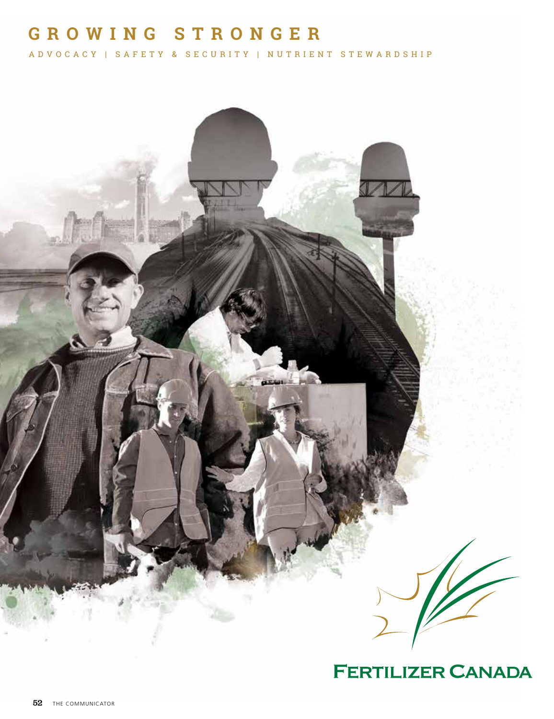#### **G ROW I N G STRON G E R**

ADVOCACY | SAFETY & SECURITY | NUTRIENT STEWARDSHIP



**FERTILIZER CANADA**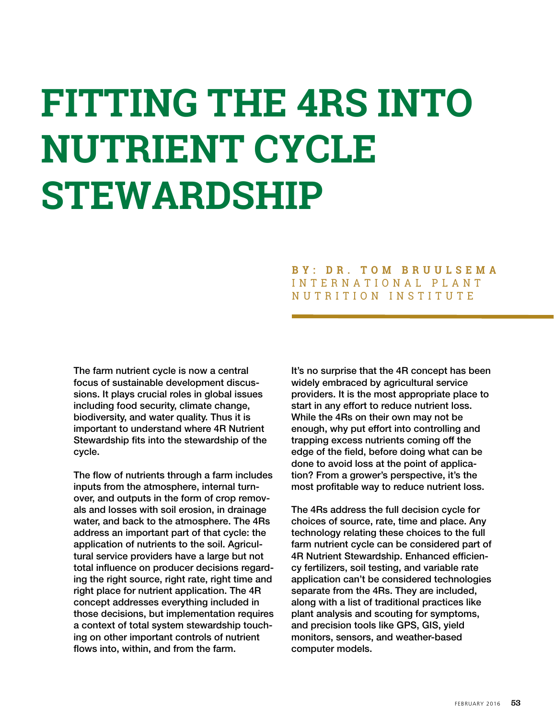# **FITTING THE 4RS INTO NUTRIENT CYCLE STEWARDSHIP**

#### **BY: DR. TOM BRUULSEMA** INTERNATIONAL PLANT NUTRITION INSTITUTE

The farm nutrient cycle is now a central focus of sustainable development discussions. It plays crucial roles in global issues including food security, climate change, biodiversity, and water quality. Thus it is important to understand where 4R Nutrient Stewardship fits into the stewardship of the cycle.

The flow of nutrients through a farm includes inputs from the atmosphere, internal turnover, and outputs in the form of crop removals and losses with soil erosion, in drainage water, and back to the atmosphere. The 4Rs address an important part of that cycle: the application of nutrients to the soil. Agricultural service providers have a large but not total influence on producer decisions regarding the right source, right rate, right time and right place for nutrient application. The 4R concept addresses everything included in those decisions, but implementation requires a context of total system stewardship touching on other important controls of nutrient flows into, within, and from the farm.

It's no surprise that the 4R concept has been widely embraced by agricultural service providers. It is the most appropriate place to start in any effort to reduce nutrient loss. While the 4Rs on their own may not be enough, why put effort into controlling and trapping excess nutrients coming off the edge of the field, before doing what can be done to avoid loss at the point of application? From a grower's perspective, it's the most profitable way to reduce nutrient loss.

The 4Rs address the full decision cycle for choices of source, rate, time and place. Any technology relating these choices to the full farm nutrient cycle can be considered part of 4R Nutrient Stewardship. Enhanced efficiency fertilizers, soil testing, and variable rate application can't be considered technologies separate from the 4Rs. They are included, along with a list of traditional practices like plant analysis and scouting for symptoms, and precision tools like GPS, GIS, yield monitors, sensors, and weather-based computer models.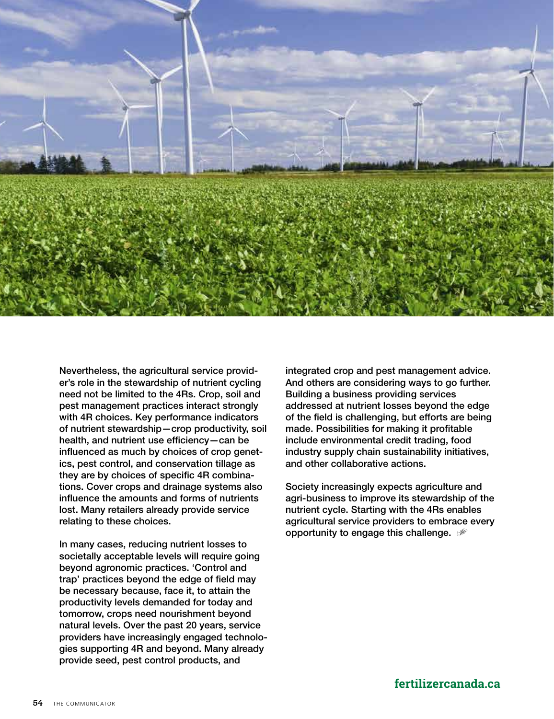

Nevertheless, the agricultural service provider's role in the stewardship of nutrient cycling need not be limited to the 4Rs. Crop, soil and pest management practices interact strongly with 4R choices. Key performance indicators of nutrient stewardship—crop productivity, soil health, and nutrient use efficiency—can be influenced as much by choices of crop genetics, pest control, and conservation tillage as they are by choices of specific 4R combinations. Cover crops and drainage systems also influence the amounts and forms of nutrients lost. Many retailers already provide service relating to these choices.

In many cases, reducing nutrient losses to societally acceptable levels will require going beyond agronomic practices. 'Control and trap' practices beyond the edge of field may be necessary because, face it, to attain the productivity levels demanded for today and tomorrow, crops need nourishment beyond natural levels. Over the past 20 years, service providers have increasingly engaged technologies supporting 4R and beyond. Many already provide seed, pest control products, and

integrated crop and pest management advice. And others are considering ways to go further. Building a business providing services addressed at nutrient losses beyond the edge of the field is challenging, but efforts are being made. Possibilities for making it profitable include environmental credit trading, food industry supply chain sustainability initiatives, and other collaborative actions.

Society increasingly expects agriculture and agri-business to improve its stewardship of the nutrient cycle. Starting with the 4Rs enables agricultural service providers to embrace every opportunity to engage this challenge.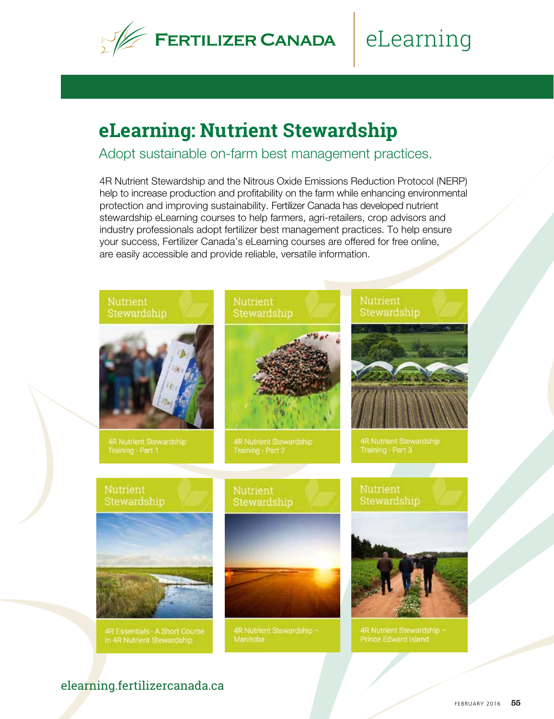

# eLearning

## **eLearning: Nutrient Stewardship**

Adopt sustainable on-farm best management practices.

4R Nutrient Stewardship and the Nitrous Oxide Emissions Reduction Protocol (NERP) help to increase production and profitability on the farm while enhancing environmental protection and improving sustainability. Fertilizer Canada has developed nutrient stewardship eLearning courses to help farmers, agri-retailers, crop advisors and industry professionals adopt fertilizer best management practices. To help ensure your success, Fertilizer Canada's eLearning courses are offered for free online, are easily accessible and provide reliable, versatile information.



#### elearning.fertilizercanada.ca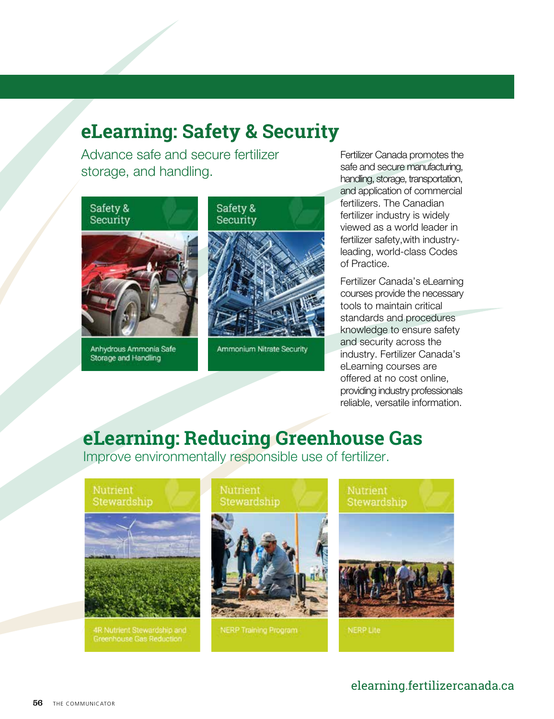## **eLearning: Safety & Security**

Advance safe and secure fertilizer storage, and handling.



Storage and Handling



Fertilizer Canada promotes the safe and secure manufacturing. handling, storage, transportation, and application of commercial fertilizers. The Canadian fertilizer industry is widely viewed as a world leader in fertilizer safety,with industryleading, world-class Codes of Practice.

Fertilizer Canada's eLearning courses provide the necessary tools to maintain critical standards and procedures knowledge to ensure safety and security across the industry. Fertilizer Canada's eLearning courses are offered at no cost online, providing industry professionals reliable, versatile information.

## **eLearning: Reducing Greenhouse Gas**

Improve environmentally responsible use of fertilizer.